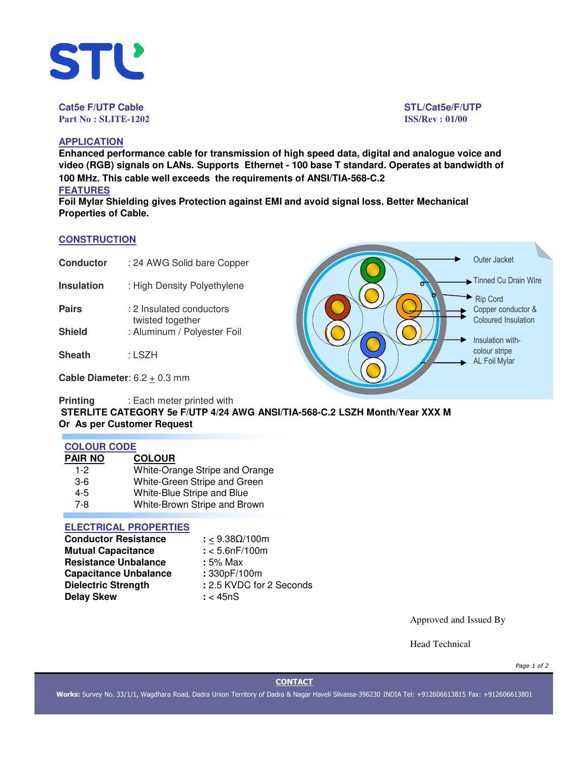

**Cat5e F/UTP Cable STL/Cat5e/F/UTP Part No : SLITE-1202 ISS/Rev : 01/00**

## **APPLICATION**

**Enhanced performance cable for transmission of high speed data, digital and analogue voice and video (RGB) signals on LANs. Supports Ethernet - 100 base T standard. Operates at bandwidth of 100 MHz. This cable well exceeds the requirements of ANSI/TIA-568-C.2 FEATURES**

**Foil Mylar Shielding gives Protection against EMI and avoid signal loss. Better Mechanical Properties of Cable.**

## **CONSTRUCTION**

| <b>Conductor</b> | : 24 AWG Solid bare Copper |
|------------------|----------------------------|
|------------------|----------------------------|

- **Insulation** : High Density Polyethylene
- **Pairs** : 2 Insulated conductors twisted together **Shield** : Aluminum / Polyester Foil
- 
- **Sheath** : LSZH

**Cable Diameter**:  $6.2 \pm 0.3$  mm

**Printing** : Each meter printed with

**STERLITE CATEGORY 5e F/UTP 4/24 AWG ANSI/TIA-568-C.2 LSZH Month/Year XXX M Or As per Customer Request**

## **COLOUR CODE**

| PAIR NO | <b>COLOUR</b>                  |
|---------|--------------------------------|
| $1 - 2$ | White-Orange Stripe and Orange |
| $3-6$   | White-Green Stripe and Green   |
| 4-5     | White-Blue Stripe and Blue     |
| 7-8     | White-Brown Stripe and Brown   |

# **ELECTRICAL PROPERTIES**

| <b>Conductor Resistance</b>  | : < $9.38\Omega/100m$    |
|------------------------------|--------------------------|
| <b>Mutual Capacitance</b>    | $: < 5.6$ n $F/100$ m    |
| <b>Resistance Unbalance</b>  | : 5% Max                 |
| <b>Capacitance Unbalance</b> | : 330pF/100m             |
| <b>Dielectric Strength</b>   | : 2.5 KVDC for 2 Seconds |
| <b>Delay Skew</b>            | $:$ < 45nS               |

Approved and Issued By

Head Technical

*Page 1 of 2*

## **CONTACT**

**Works:** Survey No. 33/1/1, Wagdhara Road, Dadra Union Territory of Dadra & Nagar Haveli Silvassa-396230 INDIA Tel: +912606613815 Fax: +912606613801